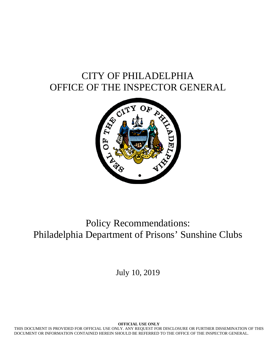# CITY OF PHILADELPHIA OFFICE OF THE INSPECTOR GENERAL



# Policy Recommendations: Philadelphia Department of Prisons' Sunshine Clubs

July 10, 2019

**OFFICIAL USE ONLY** 

THIS DOCUMENT IS PROVIDED FOR OFFICIAL USE ONLY. ANY REQUEST FOR DISCLOSURE OR FURTHER DISSEMINATION OF THIS DOCUMENT OR INFORMATION CONTAINED HEREIN SHOULD BE REFERRED TO THE OFFICE OF THE INSPECTOR GENERAL.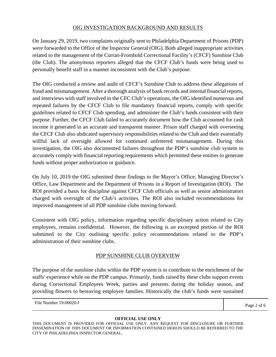## OIG INVESTIGATION BACKGROUND AND RESULTS

On January 29, 2019, two complaints originally sent to Philadelphia Department of Prisons (PDP) were forwarded to the Office of the Inspector General (OIG). Both alleged inappropriate activities related to the management of the Curran-Fromhold Correctional Facility's (CFCF) Sunshine Club (the Club). The anonymous reporters alleged that the CFCF Club's funds were being used to personally benefit staff in a manner inconsistent with the Club's purpose.

The OIG conducted a review and audit of CFCF's Sunshine Club to address these allegations of fraud and mismanagement. After a thorough analysis of bank records and internal financial reports, and interviews with staff involved in the CFC Club's operations, the OIG identified numerous and repeated failures by the CFCF Club to file mandatory financial reports, comply with specific guidelines related to CFCF Club spending, and administer the Club's funds consistent with their purpose. Further, the CFCF Club failed to accurately document how the Club accounted for cash income it generated in an accurate and transparent manner. Prison staff charged with overseeing the CFCF Club also abdicated supervisory responsibilities related to the Club and their essentially willful lack of oversight allowed for continued unfettered mismanagement. During this investigation, the OIG also documented failures throughout the PDP's sunshine club system to accurately comply with financial reporting requirements which permitted these entities to generate funds without proper authorization or guidance.

On July 10, 2019 the OIG submitted these findings to the Mayor's Office, Managing Director's Office, Law Department and the Department of Prisons in a Report of Investigation (ROI). The ROI provided a basis for discipline against CFCF Club officials as well as senior administrators charged with oversight of the Club's activities. The ROI also included recommendations for improved management of all PDP sunshine clubs moving forward.

Consistent with OIG policy, information regarding specific disciplinary action related to City employees, remains confidential. However, the following is an excerpted portion of the ROI submitted to the City outlining specific policy recommendations related to the PDP's administration of their sunshine clubs.

## PDP SUNSHINE CLUB OVERVIEW

The purpose of the sunshine clubs within the PDP system is to contribute to the enrichment of the staffs' experience while on the PDP campus. Primarily, funds raised by these clubs support events during Correctional Employees Week, parties and presents during the holiday season, and providing flowers to bereaving employee families. Historically the club's funds were sustained

File Number 19-00020-I Page 2 of 6

THIS DOCUMENT IS PROVIDED FOR OFFICIAL USE ONLY. ANY REQUEST FOR DISCLOSURE OR FURTHER DISSEMINATION OF THIS DOCUMENT OR INFORMATION CONTAINED HEREIN SHOULD BE REFERRED TO THE CITY OF PHILADELPHIA INSPECTOR GENERAL.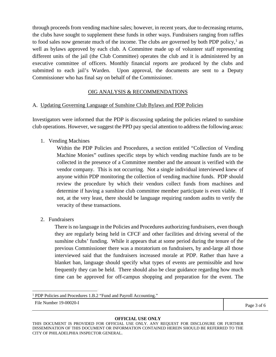through proceeds from vending machine sales; however, in recent years, due to decreasing returns, the clubs have sought to supplement these funds in other ways. Fundraisers ranging from raffles to food sales now generate much of the income. The clubs are governed by both PDP policy, $<sup>1</sup>$  $<sup>1</sup>$  $<sup>1</sup>$  as</sup> well as bylaws approved by each club. A Committee made up of volunteer staff representing different units of the jail (the Club Committee) operates the club and it is administered by an executive committee of officers. Monthly financial reports are produced by the clubs and submitted to each jail's Warden. Upon approval, the documents are sent to a Deputy Commissioner who has final say on behalf of the Commissioner.

## OIG ANALYSIS & RECOMMENDATIONS

#### A. Updating Governing Language of Sunshine Club Bylaws and PDP Policies

Investigators were informed that the PDP is discussing updating the policies related to sunshine club operations. However, we suggest the PPD pay special attention to address the following areas:

1. Vending Machines

Within the PDP Policies and Procedures, a section entitled "Collection of Vending Machine Monies" outlines specific steps by which vending machine funds are to be collected in the presence of a Committee member and the amount is verified with the vendor company. This is not occurring. Not a single individual interviewed knew of anyone within PDP monitoring the collection of vending machine funds. PDP should review the procedure by which their vendors collect funds from machines and determine if having a sunshine club committee member participate is even viable. If not, at the very least, there should be language requiring random audits to verify the veracity of these transactions.

2. Fundraisers

There is no language in the Policies and Procedures authorizing fundraisers, even though they are regularly being held in CFCF and other facilities and driving several of the sunshine clubs' funding. While it appears that at some period during the tenure of the previous Commissioner there was a moratorium on fundraisers, by and-large all those interviewed said that the fundraisers increased morale at PDP. Rather than have a blanket ban, language should specify what types of events are permissible and how frequently they can be held. There should also be clear guidance regarding how much time can be approved for off-campus shopping and preparation for the event. The

<span id="page-2-0"></span><sup>1</sup> PDP Policies and Procedures 1.B.2 "Fund and Payroll Accounting."

File Number 19-00020-I Page 3 of 6

THIS DOCUMENT IS PROVIDED FOR OFFICIAL USE ONLY. ANY REQUEST FOR DISCLOSURE OR FURTHER DISSEMINATION OF THIS DOCUMENT OR INFORMATION CONTAINED HEREIN SHOULD BE REFERRED TO THE CITY OF PHILADELPHIA INSPECTOR GENERAL.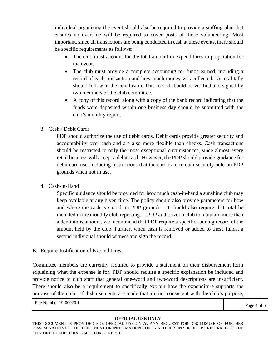individual organizing the event should also be required to provide a staffing plan that ensures no overtime will be required to cover posts of those volunteering. Most important, since all transactions are being conducted in cash at these events, there should be specific requirements as follows:

- The club must account for the total amount in expenditures in preparation for the event.
- The club must provide a complete accounting for funds earned, including a record of each transaction and how much money was collected. A total tally should follow at the conclusion. This record should be verified and signed by two members of the club committee.
- A copy of this record, along with a copy of the bank record indicating that the funds were deposited within one business day should be submitted with the club's monthly report.

## 3. Cash / Debit Cards

PDP should authorize the use of debit cards. Debit cards provide greater security and accountability over cash and are also more flexible than checks. Cash transactions should be restricted to only the most exceptional circumstances, since almost every retail business will accept a debit card. However, the PDP should provide guidance for debit card use, including instructions that the card is to remain securely held on PDP grounds when not in use.

4. Cash-in-Hand

Specific guidance should be provided for how much cash-in-hand a sunshine club may keep available at any given time. The policy should also provide parameters for how and where the cash is stored on PDP grounds. It should also require that total be included in the monthly club reporting. If PDP authorizes a club to maintain more than a deminimis amount, we recommend that PDP require a specific running record of the amount held by the club. Further, when cash is removed or added to these funds, a second individual should witness and sign the record.

#### B. Require Justification of Expenditures

Committee members are currently required to provide a statement on their disbursement form explaining what the expense is for. PDP should require a specific explanation be included and provide notice to club staff that general one-word and two-word descriptions are insufficient. There should also be a requirement to specifically explain how the expenditure supports the purpose of the club. If disbursements are made that are not consistent with the club's purpose,

File Number 19-00020-I Page 4 of 6

THIS DOCUMENT IS PROVIDED FOR OFFICIAL USE ONLY. ANY REQUEST FOR DISCLOSURE OR FURTHER DISSEMINATION OF THIS DOCUMENT OR INFORMATION CONTAINED HEREIN SHOULD BE REFERRED TO THE CITY OF PHILADELPHIA INSPECTOR GENERAL.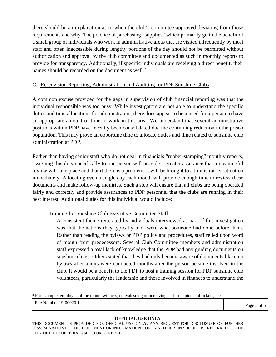there should be an explanation as to when the club's committee approved deviating from those requirements and why. The practice of purchasing "supplies" which primarily go to the benefit of a small group of individuals who work in administrative areas that are visited infrequently by most staff and often inaccessible during lengthy portions of the day should not be permitted without authorization and approval by the club committee and documented as such in monthly reports to provide for transparency. Additionally, if specific individuals are receiving a direct benefit, their names should be recorded on the document as well.<sup>[2](#page-4-0)</sup>

### C. Re-envision Reporting, Administration and Auditing for PDP Sunshine Clubs

A common excuse provided for the gaps in supervision of club financial reporting was that the individual responsible was too busy. While investigators are not able to understand the specific duties and time allocations for administrators, there does appear to be a need for a person to have an appropriate amount of time to work in this area. We understand that several administrative positions within PDP have recently been consolidated due the continuing reduction in the prison population. This may prove an opportune time to allocate duties and time related to sunshine club administration at PDP.

Rather than having senior staff who do not deal in financials "rubber-stamping" monthly reports, assigning this duty specifically to one person will provide a greater assurance that a meaningful review will take place and that if there is a problem, it will be brought to administrators' attention immediately. Allocating even a single day each month will provide enough time to review these documents and make follow-up inquiries. Such a step will ensure that all clubs are being operated fairly and correctly and provide assurances to PDP personnel that the clubs are running in their best interest. Additional duties for this individual would include:

1. Training for Sunshine Club Executive Committee Staff

A consistent theme reiterated by individuals interviewed as part of this investigation was that the actions they typically took were what someone had done before them. Rather than reading the bylaws or PDP policy and procedures, staff relied upon word of mouth from predecessors. Several Club Committee members and administration staff expressed a total lack of knowledge that the PDP had any guiding documents on sunshine clubs. Others stated that they had only become aware of documents like club bylaws after audits were conducted months after the person became involved in the club. It would be a benefit to the PDP to host a training session for PDP sunshine club volunteers, particularly the leadership and those involved in finances to understand the

<span id="page-4-0"></span> $2$  For example, employee of the month winners, convalescing or bereaving staff, recipients of tickets, etc.

THIS DOCUMENT IS PROVIDED FOR OFFICIAL USE ONLY. ANY REQUEST FOR DISCLOSURE OR FURTHER DISSEMINATION OF THIS DOCUMENT OR INFORMATION CONTAINED HEREIN SHOULD BE REFERRED TO THE CITY OF PHILADELPHIA INSPECTOR GENERAL.